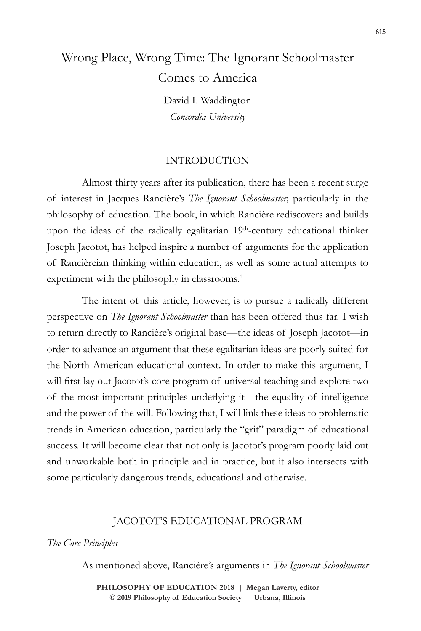# Wrong Place, Wrong Time: The Ignorant Schoolmaster Comes to America

David I. Waddington *Concordia University*

### INTRODUCTION

Almost thirty years after its publication, there has been a recent surge of interest in Jacques Rancière's *The Ignorant Schoolmaster,* particularly in the philosophy of education. The book, in which Rancière rediscovers and builds upon the ideas of the radically egalitarian 19th-century educational thinker Joseph Jacotot, has helped inspire a number of arguments for the application of Rancièreian thinking within education, as well as some actual attempts to experiment with the philosophy in classrooms.<sup>1</sup>

The intent of this article, however, is to pursue a radically different perspective on *The Ignorant Schoolmaster* than has been offered thus far. I wish to return directly to Rancière's original base—the ideas of Joseph Jacotot—in order to advance an argument that these egalitarian ideas are poorly suited for the North American educational context. In order to make this argument, I will first lay out Jacotot's core program of universal teaching and explore two of the most important principles underlying it—the equality of intelligence and the power of the will. Following that, I will link these ideas to problematic trends in American education, particularly the "grit" paradigm of educational success. It will become clear that not only is Jacotot's program poorly laid out and unworkable both in principle and in practice, but it also intersects with some particularly dangerous trends, educational and otherwise.

# JACOTOT'S EDUCATIONAL PROGRAM

#### *The Core Principles*

As mentioned above, Rancière's arguments in *The Ignorant Schoolmaster*

**doi: 10.47925/74.615 PHILOSOPHY OF EDUCATION 2018 | Megan Laverty, editor © 2019 Philosophy of Education Society | Urbana, Illinois**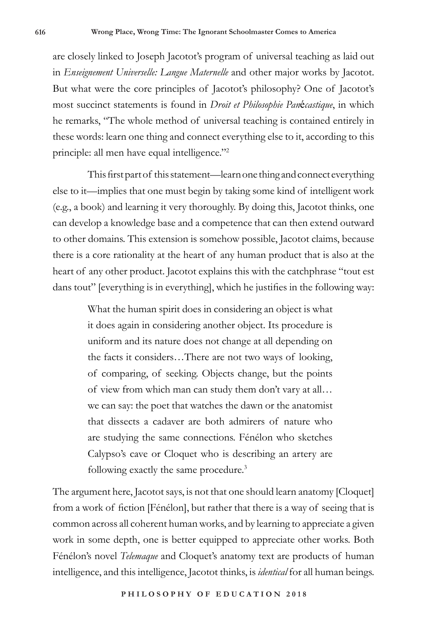are closely linked to Joseph Jacotot's program of universal teaching as laid out in *Enseignement Universelle: Langue Maternelle* and other major works by Jacotot. But what were the core principles of Jacotot's philosophy? One of Jacotot's most succinct statements is found in *Droit et Philosophie Pan*é*castique*, in which he remarks, "The whole method of universal teaching is contained entirely in these words: learn one thing and connect everything else to it, according to this principle: all men have equal intelligence."2

This first part of this statement—learn one thing and connect everything else to it—implies that one must begin by taking some kind of intelligent work (e.g., a book) and learning it very thoroughly. By doing this, Jacotot thinks, one can develop a knowledge base and a competence that can then extend outward to other domains. This extension is somehow possible, Jacotot claims, because there is a core rationality at the heart of any human product that is also at the heart of any other product. Jacotot explains this with the catchphrase "tout est dans tout" [everything is in everything], which he justifies in the following way:

> What the human spirit does in considering an object is what it does again in considering another object. Its procedure is uniform and its nature does not change at all depending on the facts it considers…There are not two ways of looking, of comparing, of seeking. Objects change, but the points of view from which man can study them don't vary at all… we can say: the poet that watches the dawn or the anatomist that dissects a cadaver are both admirers of nature who are studying the same connections. Fénélon who sketches Calypso's cave or Cloquet who is describing an artery are following exactly the same procedure.3

The argument here, Jacotot says, is not that one should learn anatomy [Cloquet] from a work of fiction [Fénélon], but rather that there is a way of seeing that is common across all coherent human works, and by learning to appreciate a given work in some depth, one is better equipped to appreciate other works. Both Fénélon's novel *Telemaque* and Cloquet's anatomy text are products of human intelligence, and this intelligence, Jacotot thinks, is *identical* for all human beings.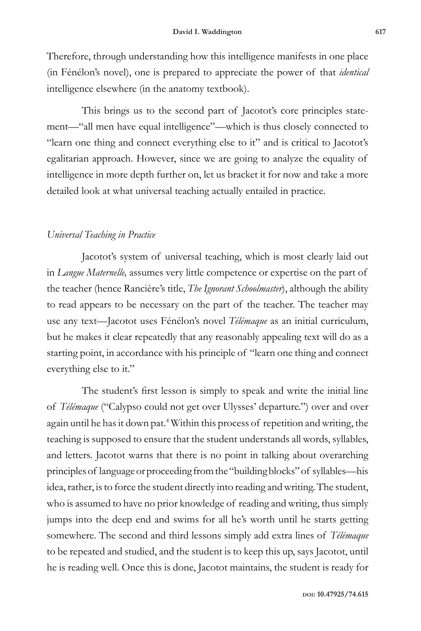Therefore, through understanding how this intelligence manifests in one place (in Fénélon's novel), one is prepared to appreciate the power of that *identical* intelligence elsewhere (in the anatomy textbook).

This brings us to the second part of Jacotot's core principles statement—"all men have equal intelligence"—which is thus closely connected to "learn one thing and connect everything else to it" and is critical to Jacotot's egalitarian approach. However, since we are going to analyze the equality of intelligence in more depth further on, let us bracket it for now and take a more detailed look at what universal teaching actually entailed in practice.

# *Universal Teaching in Practice*

Jacotot's system of universal teaching, which is most clearly laid out in *Langue Maternelle,* assumes very little competence or expertise on the part of the teacher (hence Rancière's title, *The Ignorant Schoolmaster*), although the ability to read appears to be necessary on the part of the teacher. The teacher may use any text—Jacotot uses Fénélon's novel *Télémaque* as an initial curriculum, but he makes it clear repeatedly that any reasonably appealing text will do as a starting point, in accordance with his principle of "learn one thing and connect everything else to it."

The student's first lesson is simply to speak and write the initial line of *Télémaque* ("Calypso could not get over Ulysses' departure.") over and over again until he has it down pat.4 Within this process of repetition and writing, the teaching is supposed to ensure that the student understands all words, syllables, and letters. Jacotot warns that there is no point in talking about overarching principles of language or proceeding from the "building blocks" of syllables—his idea, rather, is to force the student directly into reading and writing. The student, who is assumed to have no prior knowledge of reading and writing, thus simply jumps into the deep end and swims for all he's worth until he starts getting somewhere. The second and third lessons simply add extra lines of *Télémaque*  to be repeated and studied, and the student is to keep this up, says Jacotot, until he is reading well. Once this is done, Jacotot maintains, the student is ready for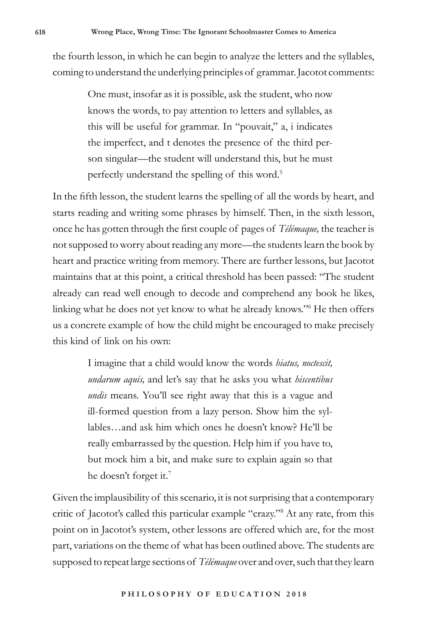the fourth lesson, in which he can begin to analyze the letters and the syllables, coming to understand the underlying principles of grammar. Jacotot comments:

> One must, insofar as it is possible, ask the student, who now knows the words, to pay attention to letters and syllables, as this will be useful for grammar. In "pouvait," a, i indicates the imperfect, and t denotes the presence of the third person singular—the student will understand this, but he must perfectly understand the spelling of this word.<sup>5</sup>

In the fifth lesson, the student learns the spelling of all the words by heart, and starts reading and writing some phrases by himself. Then, in the sixth lesson, once he has gotten through the first couple of pages of *Télémaque,* the teacher is not supposed to worry about reading any more—the students learn the book by heart and practice writing from memory. There are further lessons, but Jacotot maintains that at this point, a critical threshold has been passed: "The student already can read well enough to decode and comprehend any book he likes, linking what he does not yet know to what he already knows."6 He then offers us a concrete example of how the child might be encouraged to make precisely this kind of link on his own:

> I imagine that a child would know the words *hiatus, noctescit, undarum aquis,* and let's say that he asks you what *hiscentibus undis* means. You'll see right away that this is a vague and ill-formed question from a lazy person. Show him the syllables…and ask him which ones he doesn't know? He'll be really embarrassed by the question. Help him if you have to, but mock him a bit, and make sure to explain again so that he doesn't forget it.<sup>7</sup>

Given the implausibility of this scenario, it is not surprising that a contemporary critic of Jacotot's called this particular example "crazy."8 At any rate, from this point on in Jacotot's system, other lessons are offered which are, for the most part, variations on the theme of what has been outlined above. The students are supposed to repeat large sections of *Télémaque* over and over, such that they learn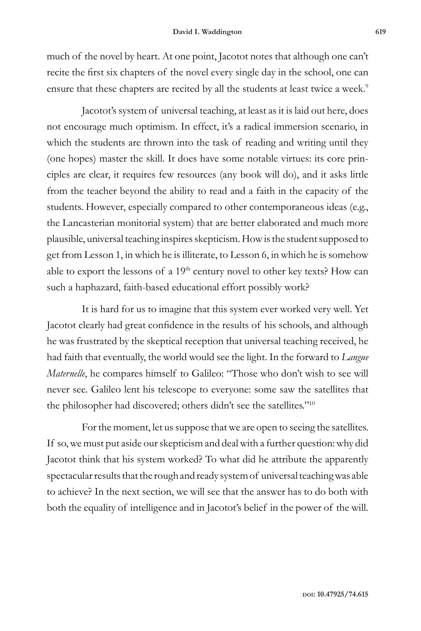much of the novel by heart. At one point, Jacotot notes that although one can't recite the first six chapters of the novel every single day in the school, one can ensure that these chapters are recited by all the students at least twice a week.<sup>9</sup>

Jacotot's system of universal teaching, at least as it is laid out here, does not encourage much optimism. In effect, it's a radical immersion scenario, in which the students are thrown into the task of reading and writing until they (one hopes) master the skill. It does have some notable virtues: its core principles are clear, it requires few resources (any book will do), and it asks little from the teacher beyond the ability to read and a faith in the capacity of the students. However, especially compared to other contemporaneous ideas (e.g., the Lancasterian monitorial system) that are better elaborated and much more plausible, universal teaching inspires skepticism. How is the student supposed to get from Lesson 1, in which he is illiterate, to Lesson 6, in which he is somehow able to export the lessons of a  $19<sup>th</sup>$  century novel to other key texts? How can such a haphazard, faith-based educational effort possibly work?

It is hard for us to imagine that this system ever worked very well. Yet Jacotot clearly had great confidence in the results of his schools, and although he was frustrated by the skeptical reception that universal teaching received, he had faith that eventually, the world would see the light. In the forward to *Langue Maternelle*, he compares himself to Galileo: "Those who don't wish to see will never see. Galileo lent his telescope to everyone: some saw the satellites that the philosopher had discovered; others didn't see the satellites."<sup>10</sup>

For the moment, let us suppose that we are open to seeing the satellites. If so, we must put aside our skepticism and deal with a further question: why did Jacotot think that his system worked? To what did he attribute the apparently spectacular results that the rough and ready system of universal teaching was able to achieve? In the next section, we will see that the answer has to do both with both the equality of intelligence and in Jacotot's belief in the power of the will.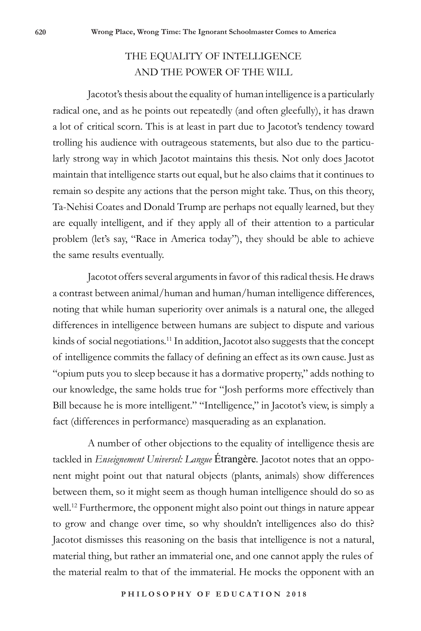# THE EQUALITY OF INTELLIGENCE AND THE POWER OF THE WILL

Jacotot's thesis about the equality of human intelligence is a particularly radical one, and as he points out repeatedly (and often gleefully), it has drawn a lot of critical scorn. This is at least in part due to Jacotot's tendency toward trolling his audience with outrageous statements, but also due to the particularly strong way in which Jacotot maintains this thesis. Not only does Jacotot maintain that intelligence starts out equal, but he also claims that it continues to remain so despite any actions that the person might take. Thus, on this theory, Ta-Nehisi Coates and Donald Trump are perhaps not equally learned, but they are equally intelligent, and if they apply all of their attention to a particular problem (let's say, "Race in America today"), they should be able to achieve the same results eventually.

Jacotot offers several arguments in favor of this radical thesis. He draws a contrast between animal/human and human/human intelligence differences, noting that while human superiority over animals is a natural one, the alleged differences in intelligence between humans are subject to dispute and various kinds of social negotiations.<sup>11</sup> In addition, Jacotot also suggests that the concept of intelligence commits the fallacy of defining an effect as its own cause. Just as "opium puts you to sleep because it has a dormative property," adds nothing to our knowledge, the same holds true for "Josh performs more effectively than Bill because he is more intelligent." "Intelligence," in Jacotot's view, is simply a fact (differences in performance) masquerading as an explanation.

A number of other objections to the equality of intelligence thesis are tackled in *Enseignement Universel: Langue* Étrangère*.* Jacotot notes that an opponent might point out that natural objects (plants, animals) show differences between them, so it might seem as though human intelligence should do so as well.12 Furthermore, the opponent might also point out things in nature appear to grow and change over time, so why shouldn't intelligences also do this? Jacotot dismisses this reasoning on the basis that intelligence is not a natural, material thing, but rather an immaterial one, and one cannot apply the rules of the material realm to that of the immaterial. He mocks the opponent with an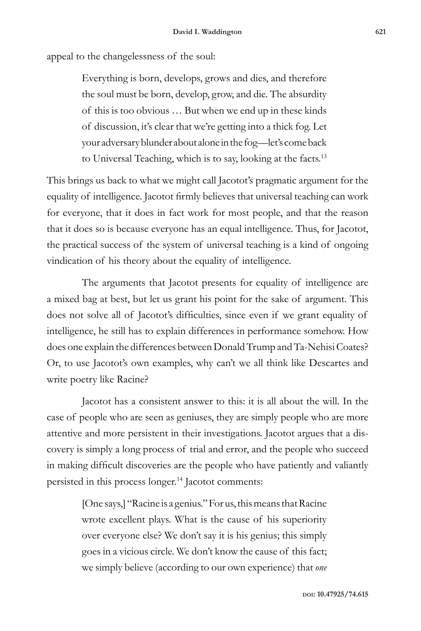appeal to the changelessness of the soul:

Everything is born, develops, grows and dies, and therefore the soul must be born, develop, grow, and die. The absurdity of this is too obvious … But when we end up in these kinds of discussion, it's clear that we're getting into a thick fog. Let your adversary blunder about alone in the fog—let's come back to Universal Teaching, which is to say, looking at the facts.13

This brings us back to what we might call Jacotot's pragmatic argument for the equality of intelligence. Jacotot firmly believes that universal teaching can work for everyone, that it does in fact work for most people, and that the reason that it does so is because everyone has an equal intelligence. Thus, for Jacotot, the practical success of the system of universal teaching is a kind of ongoing vindication of his theory about the equality of intelligence.

The arguments that Jacotot presents for equality of intelligence are a mixed bag at best, but let us grant his point for the sake of argument. This does not solve all of Jacotot's difficulties, since even if we grant equality of intelligence, he still has to explain differences in performance somehow. How does one explain the differences between Donald Trump and Ta-Nehisi Coates? Or, to use Jacotot's own examples, why can't we all think like Descartes and write poetry like Racine?

Jacotot has a consistent answer to this: it is all about the will. In the case of people who are seen as geniuses, they are simply people who are more attentive and more persistent in their investigations. Jacotot argues that a discovery is simply a long process of trial and error, and the people who succeed in making difficult discoveries are the people who have patiently and valiantly persisted in this process longer.14 Jacotot comments:

> [One says,] "Racine is a genius." For us, this means that Racine wrote excellent plays. What is the cause of his superiority over everyone else? We don't say it is his genius; this simply goes in a vicious circle. We don't know the cause of this fact; we simply believe (according to our own experience) that *one*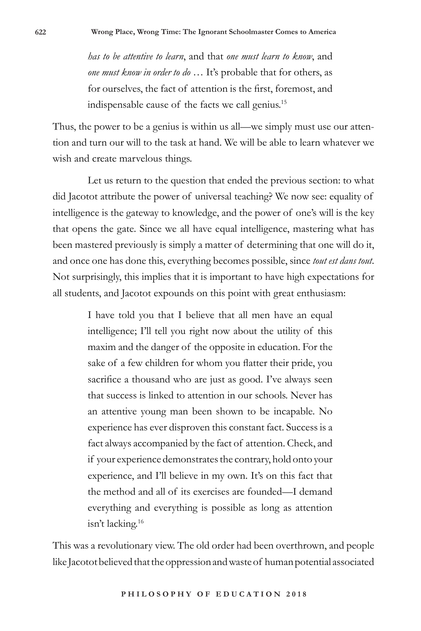*has to be attentive to learn*, and that *one must learn to know*, and *one must know in order to do* … It's probable that for others, as for ourselves, the fact of attention is the first, foremost, and indispensable cause of the facts we call genius.15

Thus, the power to be a genius is within us all—we simply must use our attention and turn our will to the task at hand. We will be able to learn whatever we wish and create marvelous things.

Let us return to the question that ended the previous section: to what did Jacotot attribute the power of universal teaching? We now see: equality of intelligence is the gateway to knowledge, and the power of one's will is the key that opens the gate. Since we all have equal intelligence, mastering what has been mastered previously is simply a matter of determining that one will do it, and once one has done this, everything becomes possible, since *tout est dans tout*. Not surprisingly, this implies that it is important to have high expectations for all students, and Jacotot expounds on this point with great enthusiasm:

> I have told you that I believe that all men have an equal intelligence; I'll tell you right now about the utility of this maxim and the danger of the opposite in education. For the sake of a few children for whom you flatter their pride, you sacrifice a thousand who are just as good. I've always seen that success is linked to attention in our schools. Never has an attentive young man been shown to be incapable. No experience has ever disproven this constant fact. Success is a fact always accompanied by the fact of attention. Check, and if your experience demonstrates the contrary, hold onto your experience, and I'll believe in my own. It's on this fact that the method and all of its exercises are founded—I demand everything and everything is possible as long as attention isn't lacking.16

This was a revolutionary view. The old order had been overthrown, and people like Jacotot believed that the oppression and waste of human potential associated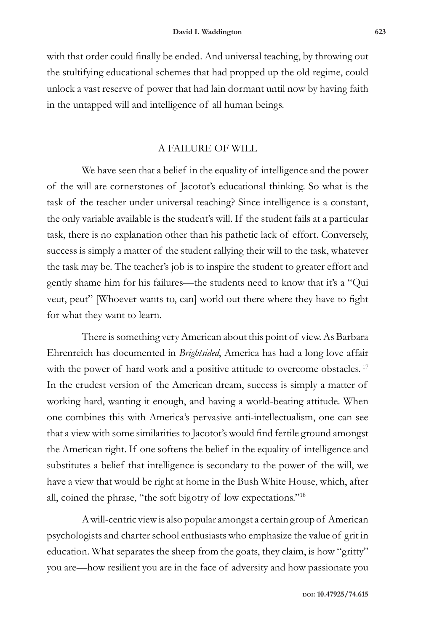with that order could finally be ended. And universal teaching, by throwing out the stultifying educational schemes that had propped up the old regime, could unlock a vast reserve of power that had lain dormant until now by having faith in the untapped will and intelligence of all human beings.

## A FAILURE OF WILL

We have seen that a belief in the equality of intelligence and the power of the will are cornerstones of Jacotot's educational thinking. So what is the task of the teacher under universal teaching? Since intelligence is a constant, the only variable available is the student's will. If the student fails at a particular task, there is no explanation other than his pathetic lack of effort. Conversely, success is simply a matter of the student rallying their will to the task, whatever the task may be. The teacher's job is to inspire the student to greater effort and gently shame him for his failures—the students need to know that it's a "Qui veut, peut" [Whoever wants to, can] world out there where they have to fight for what they want to learn.

There is something very American about this point of view. As Barbara Ehrenreich has documented in *Brightsided*, America has had a long love affair with the power of hard work and a positive attitude to overcome obstacles.<sup>17</sup> In the crudest version of the American dream, success is simply a matter of working hard, wanting it enough, and having a world-beating attitude. When one combines this with America's pervasive anti-intellectualism, one can see that a view with some similarities to Jacotot's would find fertile ground amongst the American right. If one softens the belief in the equality of intelligence and substitutes a belief that intelligence is secondary to the power of the will, we have a view that would be right at home in the Bush White House, which, after all, coined the phrase, "the soft bigotry of low expectations."18

A will-centric view is also popular amongst a certain group of American psychologists and charter school enthusiasts who emphasize the value of grit in education. What separates the sheep from the goats, they claim, is how "gritty" you are—how resilient you are in the face of adversity and how passionate you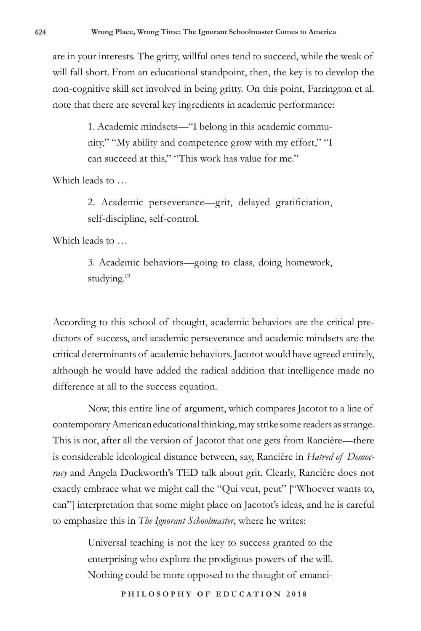are in your interests. The gritty, willful ones tend to succeed, while the weak of will fall short. From an educational standpoint, then, the key is to develop the non-cognitive skill set involved in being gritty. On this point, Farrington et al. note that there are several key ingredients in academic performance:

> 1. Academic mindsets—"I belong in this academic community," "My ability and competence grow with my effort," "I can succeed at this," "This work has value for me."

Which leads to …

2. Academic perseverance—grit, delayed gratificiation, self-discipline, self-control.

Which leads to …

3. Academic behaviors—going to class, doing homework, studying.<sup>19</sup>

According to this school of thought, academic behaviors are the critical predictors of success, and academic perseverance and academic mindsets are the critical determinants of academic behaviors. Jacotot would have agreed entirely, although he would have added the radical addition that intelligence made no difference at all to the success equation.

Now, this entire line of argument, which compares Jacotot to a line of contemporary American educational thinking, may strike some readers as strange. This is not, after all the version of Jacotot that one gets from Rancière—there is considerable ideological distance between, say, Rancière in *Hatred of Democracy* and Angela Duckworth's TED talk about grit. Clearly, Rancière does not exactly embrace what we might call the "Qui veut, peut" ["Whoever wants to, can"] interpretation that some might place on Jacotot's ideas, and he is careful to emphasize this in *The Ignorant Schoolmaster*, where he writes:

> Universal teaching is not the key to success granted to the enterprising who explore the prodigious powers of the will. Nothing could be more opposed to the thought of emanci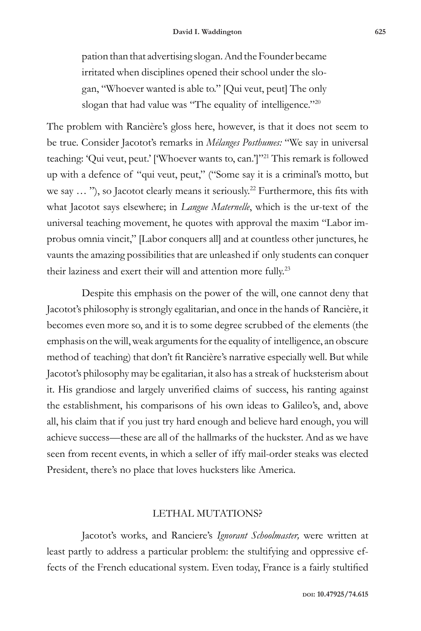pation than that advertising slogan. And the Founder became irritated when disciplines opened their school under the slogan, "Whoever wanted is able to." [Qui veut, peut] The only slogan that had value was "The equality of intelligence."<sup>20</sup>

The problem with Rancière's gloss here, however, is that it does not seem to be true. Consider Jacotot's remarks in *Mélanges Posthumes:* "We say in universal teaching: 'Qui veut, peut.' ['Whoever wants to, can.']"21 This remark is followed up with a defence of "qui veut, peut," ("Some say it is a criminal's motto, but we say ... "), so Jacotot clearly means it seriously.<sup>22</sup> Furthermore, this fits with what Jacotot says elsewhere; in *Langue Maternelle*, which is the ur-text of the universal teaching movement, he quotes with approval the maxim "Labor improbus omnia vincit," [Labor conquers all] and at countless other junctures, he vaunts the amazing possibilities that are unleashed if only students can conquer their laziness and exert their will and attention more fully.23

Despite this emphasis on the power of the will, one cannot deny that Jacotot's philosophy is strongly egalitarian, and once in the hands of Rancière, it becomes even more so, and it is to some degree scrubbed of the elements (the emphasis on the will, weak arguments for the equality of intelligence, an obscure method of teaching) that don't fit Rancière's narrative especially well. But while Jacotot's philosophy may be egalitarian, it also has a streak of hucksterism about it. His grandiose and largely unverified claims of success, his ranting against the establishment, his comparisons of his own ideas to Galileo's, and, above all, his claim that if you just try hard enough and believe hard enough, you will achieve success—these are all of the hallmarks of the huckster. And as we have seen from recent events, in which a seller of iffy mail-order steaks was elected President, there's no place that loves hucksters like America.

### LETHAL MUTATIONS?

Jacotot's works, and Ranciere's *Ignorant Schoolmaster,* were written at least partly to address a particular problem: the stultifying and oppressive effects of the French educational system. Even today, France is a fairly stultified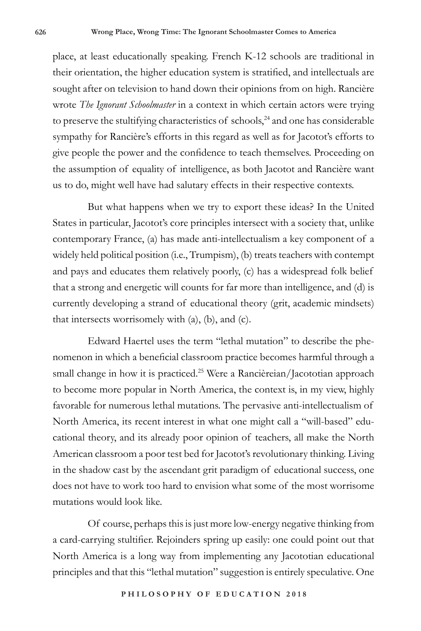place, at least educationally speaking. French K-12 schools are traditional in their orientation, the higher education system is stratified, and intellectuals are sought after on television to hand down their opinions from on high. Rancière wrote *The Ignorant Schoolmaster* in a context in which certain actors were trying to preserve the stultifying characteristics of schools, $24$  and one has considerable sympathy for Rancière's efforts in this regard as well as for Jacotot's efforts to give people the power and the confidence to teach themselves. Proceeding on the assumption of equality of intelligence, as both Jacotot and Rancière want us to do, might well have had salutary effects in their respective contexts.

But what happens when we try to export these ideas? In the United States in particular, Jacotot's core principles intersect with a society that, unlike contemporary France, (a) has made anti-intellectualism a key component of a widely held political position (i.e., Trumpism), (b) treats teachers with contempt and pays and educates them relatively poorly, (c) has a widespread folk belief that a strong and energetic will counts for far more than intelligence, and (d) is currently developing a strand of educational theory (grit, academic mindsets) that intersects worrisomely with (a), (b), and (c).

Edward Haertel uses the term "lethal mutation" to describe the phenomenon in which a beneficial classroom practice becomes harmful through a small change in how it is practiced.<sup>25</sup> Were a Rancièreian/Jacototian approach to become more popular in North America, the context is, in my view, highly favorable for numerous lethal mutations. The pervasive anti-intellectualism of North America, its recent interest in what one might call a "will-based" educational theory, and its already poor opinion of teachers, all make the North American classroom a poor test bed for Jacotot's revolutionary thinking. Living in the shadow cast by the ascendant grit paradigm of educational success, one does not have to work too hard to envision what some of the most worrisome mutations would look like.

Of course, perhaps this is just more low-energy negative thinking from a card-carrying stultifier. Rejoinders spring up easily: one could point out that North America is a long way from implementing any Jacototian educational principles and that this "lethal mutation" suggestion is entirely speculative. One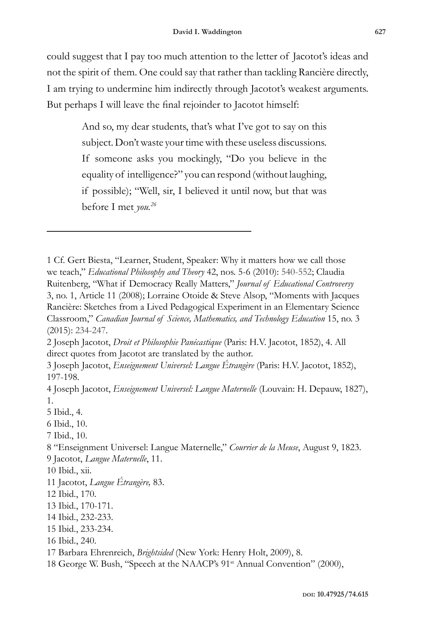could suggest that I pay too much attention to the letter of Jacotot's ideas and not the spirit of them. One could say that rather than tackling Rancière directly, I am trying to undermine him indirectly through Jacotot's weakest arguments. But perhaps I will leave the final rejoinder to Jacotot himself:

> And so, my dear students, that's what I've got to say on this subject. Don't waste your time with these useless discussions. If someone asks you mockingly, "Do you believe in the equality of intelligence?" you can respond (without laughing, if possible); "Well, sir, I believed it until now, but that was before I met *you.26*

3 Joseph Jacotot, *Enseignement Universel: Langue Étrangère* (Paris: H.V. Jacotot, 1852), 197-198.

4 Joseph Jacotot, *Enseignement Universel: Langue Maternelle* (Louvain: H. Depauw, 1827), 1.

5 Ibid., 4.

<sup>1</sup> Cf. Gert Biesta, "Learner, Student, Speaker: Why it matters how we call those we teach," *Educational Philosophy and Theory* 42, nos. 5-6 (2010): 540-552; Claudia Ruitenberg, "What if Democracy Really Matters," *Journal of Educational Controversy*  3, no. 1, Article 11 (2008); Lorraine Otoide & Steve Alsop, "Moments with Jacques Rancière: Sketches from a Lived Pedagogical Experiment in an Elementary Science Classroom," *Canadian Journal of Science, Mathematics, and Technology Education* 15, no. 3 (2015): 234-247.

<sup>2</sup> Joseph Jacotot, *Droit et Philosophie Panécastique* (Paris: H.V. Jacotot, 1852), 4. All direct quotes from Jacotot are translated by the author.

<sup>6</sup> Ibid., 10.

<sup>7</sup> Ibid., 10.

<sup>8 &</sup>quot;Enseignment Universel: Langue Maternelle," *Courrier de la Meuse*, August 9, 1823. 9 Jacotot, *Langue Maternelle*, 11.

<sup>10</sup> Ibid., xii.

<sup>11</sup> Jacotot, *Langue Étrangère,* 83.

<sup>12</sup> Ibid., 170.

<sup>13</sup> Ibid., 170-171.

<sup>14</sup> Ibid., 232-233.

<sup>15</sup> Ibid., 233-234.

<sup>16</sup> Ibid., 240.

<sup>17</sup> Barbara Ehrenreich, *Brightsided* (New York: Henry Holt, 2009), 8.

<sup>18</sup> George W. Bush, "Speech at the NAACP's 91st Annual Convention" (2000),